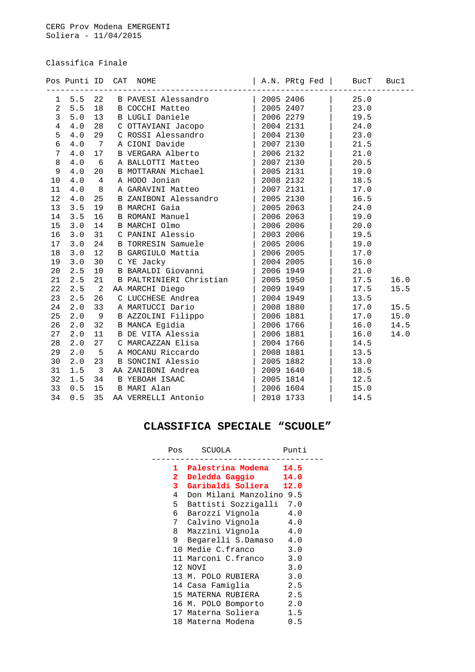Classifica Finale

|                |       |                            | Pos Punti ID CAT NOME $ $ A.N. PRtg Fed $ $ BucT                                                                                                                                                               |                                             |      | Buc1 |
|----------------|-------|----------------------------|----------------------------------------------------------------------------------------------------------------------------------------------------------------------------------------------------------------|---------------------------------------------|------|------|
| 1              | 5.5   | 22                         | B PAVESI Alessandro (2005 2406 )<br>B COCCHI Matteo (2005 2407 )<br>B LUGLI Daniele (2006 2279 )                                                                                                               |                                             | 25.0 |      |
| $\overline{c}$ | 5.5   | 18                         |                                                                                                                                                                                                                |                                             | 23.0 |      |
| $\mathbf{3}$   | $5.0$ | 13                         |                                                                                                                                                                                                                |                                             | 19.5 |      |
| $\overline{4}$ | 4.0   | 28                         | C OTTAVIANI Jacopo (2004 2131)                                                                                                                                                                                 |                                             | 24.0 |      |
| 5              | 4.0   | 29                         | C ROSSI Alessandro   2004 2130                                                                                                                                                                                 |                                             | 23.0 |      |
| 6              | 4.0   | $\overline{7}$             | A CIONI Davide                                                                                                                                                                                                 | $\begin{vmatrix} 2007 & 2130 \end{vmatrix}$ | 21.5 |      |
| $7\phantom{.}$ | 4.0   | 17                         | B VERGARA Alberto   2006 2132                                                                                                                                                                                  |                                             | 21.0 |      |
| 8              | 4.0   | $6\overline{6}$            | A BALLOTTI Matteo                                                                                                                                                                                              | 20072130                                    | 20.5 |      |
| 9              | 4.0   | 20                         | B MOTTARAN Michael                                                                                                                                                                                             | 2005 2131                                   | 19.0 |      |
| 10             | 4.0   | $\overline{4}$             |                                                                                                                                                                                                                |                                             | 18.5 |      |
| 11             | 4.0   | 8                          | A HODO Jonian<br>A GARAVINI Matteo (2007 2131                                                                                                                                                                  |                                             | 17.0 |      |
| 12             | $4.0$ | 25                         | B ZANIBONI Alessandro<br>B MARCHI Gaia<br>B ROMANI Manuel 2005 2063<br>B ROMANI Manuel 2006 2063<br>B MARCHI Olmo 2006 2006<br>C PANINI Alessio                                                                |                                             | 16.5 |      |
| 13             | 3.5   | 19                         |                                                                                                                                                                                                                |                                             | 24.0 |      |
| 14             | 3.5   | 16                         |                                                                                                                                                                                                                |                                             | 19.0 |      |
| 15             | 3.0   | 14                         |                                                                                                                                                                                                                |                                             | 20.0 |      |
| 16             | 3.0   | 31                         |                                                                                                                                                                                                                |                                             | 19.5 |      |
| 17             | 3.0   | 24                         | B TORRESIN Samuele   2005 2006                                                                                                                                                                                 |                                             | 19.0 |      |
| 18             | 3.0   | 12                         | B GARGIULO Mattia                                                                                                                                                                                              | 2006 2005                                   | 17.0 |      |
| 19             | 3.0   | 30                         | C YE Jacky                                                                                                                                                                                                     | 2004 2005                                   | 16.0 |      |
| 20             | 2.5   | 10                         | B BARALDI Giovanni (2006 1949)                                                                                                                                                                                 |                                             | 21.0 |      |
| 21             | 2.5   | 21                         |                                                                                                                                                                                                                |                                             | 17.5 | 16.0 |
| 22             | 2.5   | $\overline{\phantom{a}}^2$ | AA MARCHI Diego                                                                                                                                                                                                |                                             | 17.5 | 15.5 |
| 23             | 2.5   | 26                         |                                                                                                                                                                                                                |                                             | 13.5 |      |
| 24             | 2.0   | 33                         |                                                                                                                                                                                                                |                                             | 17.0 | 15.5 |
| 25             | 2.0   | 9                          | B PALTRINIERI Christian (2005 1950)<br>A MARCHI Diego (2005 1950)<br>C LUCCHESE Andrea (2004 1949 A MARTUCCI Dario (2008 1880 B AZZOLINI Filippo (2006 1881 B MANCA Egidia (2006 1766 P DE VITA Algoria        |                                             | 17.0 | 15.0 |
| 26             | 2.0   | 32                         |                                                                                                                                                                                                                |                                             | 16.0 | 14.5 |
| 27             | 2.0   | 11                         | B DE VITA Alessia (2006 1881)                                                                                                                                                                                  |                                             | 16.0 | 14.0 |
| 28             | 2.0   | 27                         | C MARCAZZAN Elisa $\begin{array}{ c c c c c } \hline \text{C} & \text{MARCAZZAN} & \text{Elias} & & \text{2004 } 1766 \\ \hline \text{A} & \text{MOCAMU Riccardo} & & \text{2008 } 1881 \\ \hline \end{array}$ |                                             | 14.5 |      |
| 29             | 2.0   | $5^{\circ}$                |                                                                                                                                                                                                                |                                             | 13.5 |      |
| 30             | 2.0   | 23                         | B SONCINI Alessio                                                                                                                                                                                              | 2005 1882                                   | 13.0 |      |
| 31             | 1.5   | $\overline{\mathbf{3}}$    | AA ZANIBONI Andrea                                                                                                                                                                                             | 2009 1640                                   | 18.5 |      |
| 32             | 1.5   | 34                         | B YEBOAH ISAAC<br>B MARI Alan<br>AA VERRELLI Antonio                                                                                                                                                           | 2005 1814                                   | 12.5 |      |
| 33             | 0.5   |                            | 15 B MARI Alan                                                                                                                                                                                                 | 2006 1604                                   | 15.0 |      |
| 34             | 0.5   | 35                         |                                                                                                                                                                                                                | 2010 1733                                   | 14.5 |      |

## **CLASSIFICA SPECIALE "SCUOLE"**

|              | Pos SCUOLA               | Punti |
|--------------|--------------------------|-------|
|              | 1 Palestrina Modena 14.5 |       |
| $\mathbf{2}$ | Deledda Gaggio 14.0      |       |
| $3 -$        | Garibaldi Soliera 12.0   |       |
| $4 \quad$    | Don Milani Manzolino 9.5 |       |
| 5            | Battisti Sozzigalli 7.0  |       |
| 6            | Barozzi Vignola 4.0      |       |
| 7            | Calvino Vignola 4.0      |       |
| 8            | Mazzini Vignola 4.0      |       |
| 9            | Begarelli S.Damaso 4.0   |       |
|              | 10 Medie C.franco 3.0    |       |
|              | 11 Marconi C.franco 3.0  |       |
|              | 12 NOVI                  | 3.0   |
|              | 13 M. POLO RUBIERA       | 3.0   |
|              | 14 Casa Famiqlia         | 2.5   |
|              | 15 MATERNA RUBIERA       | 2.5   |
|              | 16 M. POLO Bomporto 2.0  |       |
|              | 17 Materna Soliera       | 1.5   |
|              | 18 Materna Modena        | 0.5   |